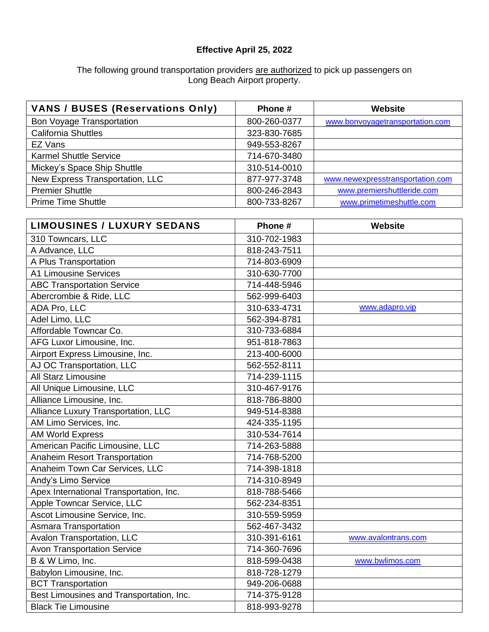## **Effective April 25, 2022**

## The following ground transportation providers are authorized to pick up passengers on Long Beach Airport property.

| <b>VANS / BUSES (Reservations Only)</b> | Phone #      | Website                          |
|-----------------------------------------|--------------|----------------------------------|
| <b>Bon Voyage Transportation</b>        | 800-260-0377 | www.bonvoyagetransportation.com  |
| <b>California Shuttles</b>              | 323-830-7685 |                                  |
| EZ Vans                                 | 949-553-8267 |                                  |
| <b>Karmel Shuttle Service</b>           | 714-670-3480 |                                  |
| Mickey's Space Ship Shuttle             | 310-514-0010 |                                  |
| New Express Transportation, LLC         | 877-977-3748 | www.newexpresstransportation.com |
| <b>Premier Shuttle</b>                  | 800-246-2843 | www.premiershuttleride.com       |
| <b>Prime Time Shuttle</b>               | 800-733-8267 | www.primetimeshuttle.com         |

| <b>LIMOUSINES / LUXURY SEDANS</b>        | Phone #      | <b>Website</b>      |
|------------------------------------------|--------------|---------------------|
| 310 Towncars, LLC                        | 310-702-1983 |                     |
| A Advance, LLC                           | 818-243-7511 |                     |
| A Plus Transportation                    | 714-803-6909 |                     |
| <b>A1 Limousine Services</b>             | 310-630-7700 |                     |
| <b>ABC Transportation Service</b>        | 714-448-5946 |                     |
| Abercrombie & Ride, LLC                  | 562-999-6403 |                     |
| ADA Pro, LLC                             | 310-633-4731 | www.adapro.vip      |
| Adel Limo, LLC                           | 562-394-8781 |                     |
| Affordable Towncar Co.                   | 310-733-6884 |                     |
| AFG Luxor Limousine, Inc.                | 951-818-7863 |                     |
| Airport Express Limousine, Inc.          | 213-400-6000 |                     |
| AJ OC Transportation, LLC                | 562-552-8111 |                     |
| All Starz Limousine                      | 714-239-1115 |                     |
| All Unique Limousine, LLC                | 310-467-9176 |                     |
| Alliance Limousine, Inc.                 | 818-786-8800 |                     |
| Alliance Luxury Transportation, LLC      | 949-514-8388 |                     |
| AM Limo Services, Inc.                   | 424-335-1195 |                     |
| <b>AM World Express</b>                  | 310-534-7614 |                     |
| American Pacific Limousine, LLC          | 714-263-5888 |                     |
| Anaheim Resort Transportation            | 714-768-5200 |                     |
| Anaheim Town Car Services, LLC           | 714-398-1818 |                     |
| Andy's Limo Service                      | 714-310-8949 |                     |
| Apex International Transportation, Inc.  | 818-788-5466 |                     |
| Apple Towncar Service, LLC               | 562-234-8351 |                     |
| Ascot Limousine Service, Inc.            | 310-559-5959 |                     |
| <b>Asmara Transportation</b>             | 562-467-3432 |                     |
| Avalon Transportation, LLC               | 310-391-6161 | www.avalontrans.com |
| <b>Avon Transportation Service</b>       | 714-360-7696 |                     |
| B & W Limo, Inc.                         | 818-599-0438 | www.bwlimos.com     |
| Babylon Limousine, Inc.                  | 818-728-1279 |                     |
| <b>BCT Transportation</b>                | 949-206-0688 |                     |
| Best Limousines and Transportation, Inc. | 714-375-9128 |                     |
| <b>Black Tie Limousine</b>               | 818-993-9278 |                     |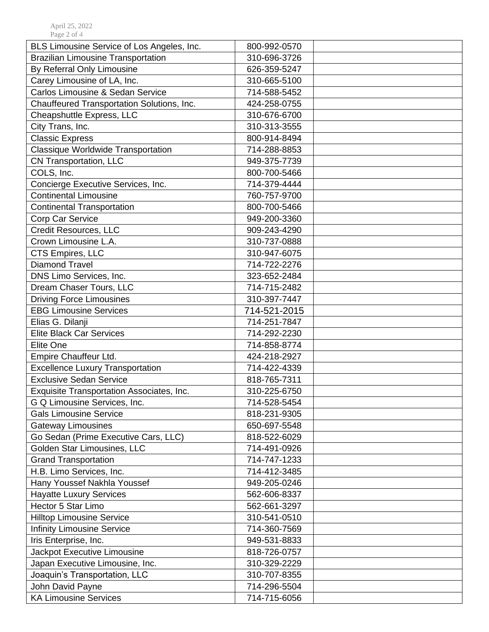| BLS Limousine Service of Los Angeles, Inc. | 800-992-0570 |
|--------------------------------------------|--------------|
| <b>Brazilian Limousine Transportation</b>  | 310-696-3726 |
| By Referral Only Limousine                 | 626-359-5247 |
| Carey Limousine of LA, Inc.                | 310-665-5100 |
| Carlos Limousine & Sedan Service           | 714-588-5452 |
| Chauffeured Transportation Solutions, Inc. | 424-258-0755 |
| Cheapshuttle Express, LLC                  | 310-676-6700 |
| City Trans, Inc.                           | 310-313-3555 |
| <b>Classic Express</b>                     | 800-914-8494 |
| Classique Worldwide Transportation         | 714-288-8853 |
| CN Transportation, LLC                     | 949-375-7739 |
| COLS, Inc.                                 | 800-700-5466 |
| Concierge Executive Services, Inc.         | 714-379-4444 |
| <b>Continental Limousine</b>               | 760-757-9700 |
| <b>Continental Transportation</b>          | 800-700-5466 |
| Corp Car Service                           | 949-200-3360 |
| Credit Resources, LLC                      | 909-243-4290 |
| Crown Limousine L.A.                       | 310-737-0888 |
| CTS Empires, LLC                           | 310-947-6075 |
| <b>Diamond Travel</b>                      | 714-722-2276 |
| DNS Limo Services, Inc.                    | 323-652-2484 |
| Dream Chaser Tours, LLC                    | 714-715-2482 |
| <b>Driving Force Limousines</b>            | 310-397-7447 |
| <b>EBG Limousine Services</b>              | 714-521-2015 |
| Elias G. Dilanji                           | 714-251-7847 |
| <b>Elite Black Car Services</b>            | 714-292-2230 |
| <b>Elite One</b>                           | 714-858-8774 |
| Empire Chauffeur Ltd.                      | 424-218-2927 |
| <b>Excellence Luxury Transportation</b>    | 714-422-4339 |
| <b>Exclusive Sedan Service</b>             | 818-765-7311 |
| Exquisite Transportation Associates, Inc.  | 310-225-6750 |
| G Q Limousine Services, Inc.               | 714-528-5454 |
| <b>Gals Limousine Service</b>              | 818-231-9305 |
| <b>Gateway Limousines</b>                  | 650-697-5548 |
| Go Sedan (Prime Executive Cars, LLC)       | 818-522-6029 |
| Golden Star Limousines, LLC                | 714-491-0926 |
| <b>Grand Transportation</b>                | 714-747-1233 |
| H.B. Limo Services, Inc.                   | 714-412-3485 |
| Hany Youssef Nakhla Youssef                | 949-205-0246 |
| <b>Hayatte Luxury Services</b>             | 562-606-8337 |
| Hector 5 Star Limo                         | 562-661-3297 |
| <b>Hilltop Limousine Service</b>           | 310-541-0510 |
| <b>Infinity Limousine Service</b>          | 714-360-7569 |
| Iris Enterprise, Inc.                      | 949-531-8833 |
| Jackpot Executive Limousine                | 818-726-0757 |
| Japan Executive Limousine, Inc.            | 310-329-2229 |
| Joaquin's Transportation, LLC              | 310-707-8355 |
| John David Payne                           | 714-296-5504 |
| <b>KA Limousine Services</b>               | 714-715-6056 |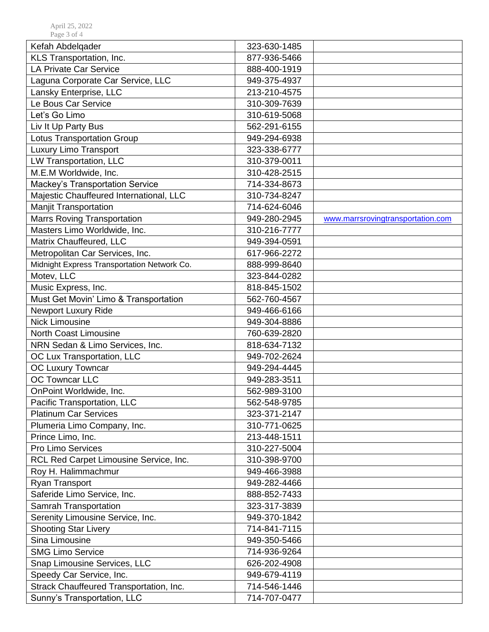| Kefah Abdelqader                            | 323-630-1485 |                                   |
|---------------------------------------------|--------------|-----------------------------------|
| KLS Transportation, Inc.                    | 877-936-5466 |                                   |
| <b>LA Private Car Service</b>               | 888-400-1919 |                                   |
| Laguna Corporate Car Service, LLC           | 949-375-4937 |                                   |
| Lansky Enterprise, LLC                      | 213-210-4575 |                                   |
| Le Bous Car Service                         | 310-309-7639 |                                   |
| Let's Go Limo                               | 310-619-5068 |                                   |
| Liv It Up Party Bus                         | 562-291-6155 |                                   |
| <b>Lotus Transportation Group</b>           | 949-294-6938 |                                   |
| Luxury Limo Transport                       | 323-338-6777 |                                   |
| LW Transportation, LLC                      | 310-379-0011 |                                   |
| M.E.M Worldwide, Inc.                       | 310-428-2515 |                                   |
| Mackey's Transportation Service             | 714-334-8673 |                                   |
| Majestic Chauffeured International, LLC     | 310-734-8247 |                                   |
| <b>Manjit Transportation</b>                | 714-624-6046 |                                   |
| <b>Marrs Roving Transportation</b>          | 949-280-2945 | www.marrsrovingtransportation.com |
| Masters Limo Worldwide, Inc.                | 310-216-7777 |                                   |
| Matrix Chauffeured, LLC                     | 949-394-0591 |                                   |
| Metropolitan Car Services, Inc.             | 617-966-2272 |                                   |
| Midnight Express Transportation Network Co. | 888-999-8640 |                                   |
| Motev, LLC                                  | 323-844-0282 |                                   |
| Music Express, Inc.                         | 818-845-1502 |                                   |
| Must Get Movin' Limo & Transportation       | 562-760-4567 |                                   |
| <b>Newport Luxury Ride</b>                  | 949-466-6166 |                                   |
| <b>Nick Limousine</b>                       | 949-304-8886 |                                   |
| <b>North Coast Limousine</b>                | 760-639-2820 |                                   |
| NRN Sedan & Limo Services, Inc.             | 818-634-7132 |                                   |
| OC Lux Transportation, LLC                  | 949-702-2624 |                                   |
| OC Luxury Towncar                           | 949-294-4445 |                                   |
| <b>OC Towncar LLC</b>                       | 949-283-3511 |                                   |
| OnPoint Worldwide, Inc.                     | 562-989-3100 |                                   |
| Pacific Transportation, LLC                 | 562-548-9785 |                                   |
| <b>Platinum Car Services</b>                | 323-371-2147 |                                   |
| Plumeria Limo Company, Inc.                 | 310-771-0625 |                                   |
| Prince Limo, Inc.                           | 213-448-1511 |                                   |
| Pro Limo Services                           | 310-227-5004 |                                   |
| RCL Red Carpet Limousine Service, Inc.      | 310-398-9700 |                                   |
| Roy H. Halimmachmur                         | 949-466-3988 |                                   |
| Ryan Transport                              | 949-282-4466 |                                   |
| Saferide Limo Service, Inc.                 | 888-852-7433 |                                   |
| Samrah Transportation                       | 323-317-3839 |                                   |
| Serenity Limousine Service, Inc.            | 949-370-1842 |                                   |
| <b>Shooting Star Livery</b>                 | 714-841-7115 |                                   |
| Sina Limousine                              | 949-350-5466 |                                   |
| <b>SMG Limo Service</b>                     | 714-936-9264 |                                   |
| Snap Limousine Services, LLC                | 626-202-4908 |                                   |
| Speedy Car Service, Inc.                    | 949-679-4119 |                                   |
| Strack Chauffeured Transportation, Inc.     | 714-546-1446 |                                   |
| Sunny's Transportation, LLC                 | 714-707-0477 |                                   |